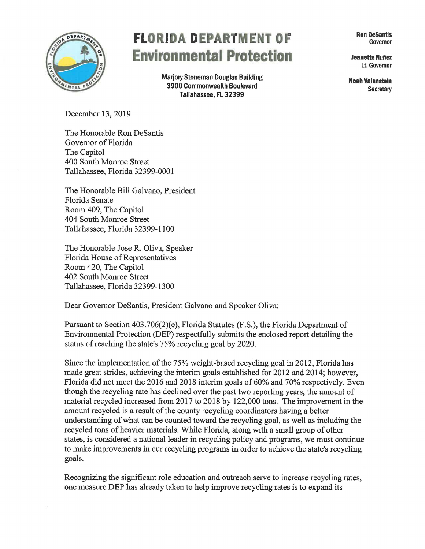

## **FLORIDA DEPARTMENT OF RON DESAntls** Governor **Envlronmental Protection Jeanette Nuiiez**

**Marjory Stoneman Douglas Building 19900 Commonwealth Boulevard Secretary Noah Valensteln**<br>3900 Commonwealth Boulevard Secretary<br>Tallahassee, FL 32399

Lt. Governor

December 13, 2019

The Honorable Ron DeSantis Governor of Florida The Capitol 400 South Monroe Street Tallahassee, Florida 32399-0001

The Honorable Bill Galvano, President Florida Senate Room 409, The Capitol 404 South Monroe Street Tallahassee, Florida 32399-1100

The Honorable Jose R. Oliva, Speaker Florida House of Representatives Room 420, The Capitol 402 South Monroe Street Tallahassee, Florida 32399-1300

Dear Governor Desantis, President Galvano and Speaker Oliva:

Pursuant to Section 403.706(2)(e), Florida Statutes (F.S.), the Florida Department of Environmental Protection (DEP) respectfully submits the enclosed report detailing the status of reaching the state's 75% recycling goal by 2020.

Since the implementation of the 75% weight-based recycling goal in 2012, Florida has made great strides, achieving the interim goals established for 2012 and 2014; however, Florida did not meet the 2016 and 2018 interim goals of 60% and 70% respectively. Even though the recycling rate has declined over the past two reporting years, the amount of material recycled increased from 2017 to 2018 by 122,000 tons. The improvement in the amount recycled is a result of the county recycling coordinators having a better understanding of what can be counted toward the recycling goal, as well as including the recycled tons of heavier materials. While Florida, along with a small group of other states, is considered a national leader in recycling policy and programs, we must continue to make improvements in our recycling programs in order to achieve the state's recycling goals.

Recognizing the significant role education and outreach serve to increase recycling rates, one measure DEP has already taken to help improve recycling rates is to expand its